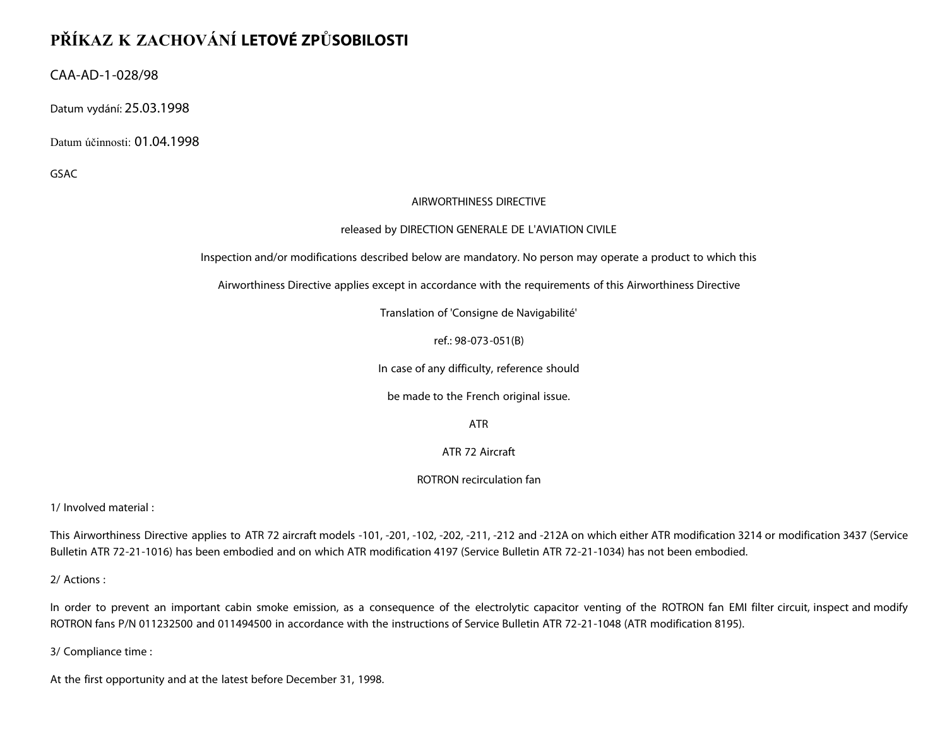# **PŘÍKAZ K ZACHOVÁNÍ LETOVÉ ZPŮSOBILOSTI**

CAA-AD-1-028/98

Datum vydání: 25.03.1998

Datum účinnosti: 01.04.1998

GSAC

### AIRWORTHINESS DIRECTIVE

#### released by DIRECTION GENERALE DE L'AVIATION CIVILE

Inspection and/or modifications described below are mandatory. No person may operate a product to which this

Airworthiness Directive applies except in accordance with the requirements of this Airworthiness Directive

Translation of 'Consigne de Navigabilité'

ref.: 98-073-051(B)

In case of any difficulty, reference should

be made to the French original issue.

ATR

ATR 72 Aircraft

ROTRON recirculation fan

1/ Involved material :

This Airworthiness Directive applies to ATR 72 aircraft models -101, -201, -102, -202, -211, -212 and -212A on which either ATR modification 3214 or modification 3437 (Service Bulletin ATR 72-21-1016) has been embodied and on which ATR modification 4197 (Service Bulletin ATR 72-21-1034) has not been embodied.

2/ Actions :

In order to prevent an important cabin smoke emission, as a consequence of the electrolytic capacitor venting of the ROTRON fan EMI filter circuit, inspect and modify ROTRON fans P/N 011232500 and 011494500 in accordance with the instructions of Service Bulletin ATR 72-21-1048 (ATR modification 8195).

3/ Compliance time :

At the first opportunity and at the latest before December 31, 1998.